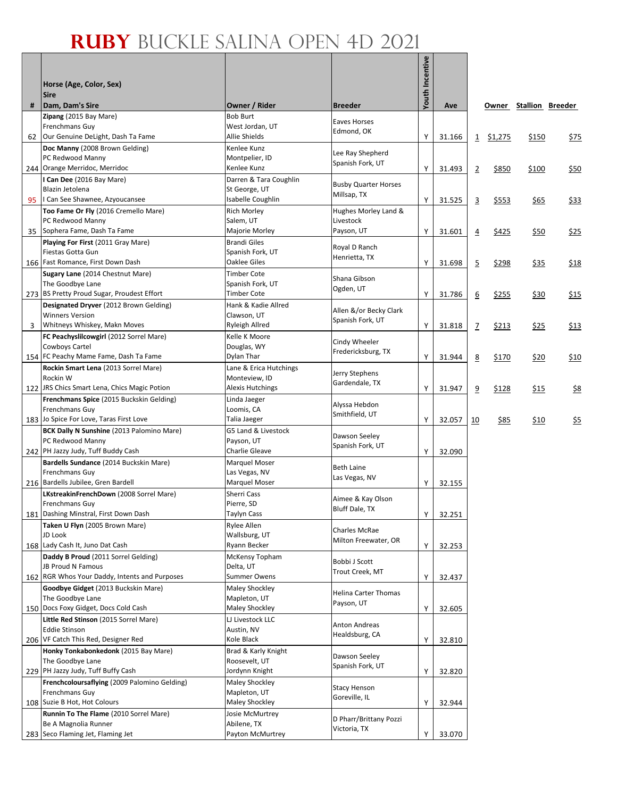## **Ruby** Buckle Salina Open 4D 2021

|    | Horse (Age, Color, Sex)                                                                                                                            |                                                                         |                                              | Youth Incentive |                  |                |              |                        |                 |
|----|----------------------------------------------------------------------------------------------------------------------------------------------------|-------------------------------------------------------------------------|----------------------------------------------|-----------------|------------------|----------------|--------------|------------------------|-----------------|
| #  | <b>Sire</b><br>Dam, Dam's Sire                                                                                                                     | Owner / Rider                                                           | <b>Breeder</b>                               |                 | Ave              |                |              | Owner Stallion Breeder |                 |
| 62 | Zipang (2015 Bay Mare)<br>Frenchmans Guy<br>Our Genuine DeLight, Dash Ta Fame                                                                      | <b>Bob Burt</b><br>West Jordan, UT<br>Allie Shields                     | Eaves Horses<br>Edmond, OK                   | Υ               | 31.166           | $\overline{1}$ | \$1,275      | \$150                  | \$75            |
|    | Doc Manny (2008 Brown Gelding)<br>PC Redwood Manny<br>244 Orange Merridoc, Merridoc                                                                | Kenlee Kunz<br>Montpelier, ID<br>Kenlee Kunz                            | Lee Ray Shepherd<br>Spanish Fork, UT         | Υ               | 31.493           | $\overline{2}$ | \$850        | \$100                  | \$50            |
| 95 | I Can Dee (2016 Bay Mare)<br>Blazin Jetolena<br>I Can See Shawnee, Azyoucansee                                                                     | Darren & Tara Coughlin<br>St George, UT<br>Isabelle Coughlin            | <b>Busby Quarter Horses</b><br>Millsap, TX   | Y               | 31.525           | 3              | \$553        | \$65                   | <u>\$33</u>     |
|    | Too Fame Or Fly (2016 Cremello Mare)<br>PC Redwood Manny                                                                                           | <b>Rich Morley</b><br>Salem, UT                                         | Hughes Morley Land &<br>Livestock            |                 |                  |                |              |                        |                 |
|    | 35   Sophera Fame, Dash Ta Fame<br>Playing For First (2011 Gray Mare)<br>Fiestas Gotta Gun                                                         | Majorie Morley<br><b>Brandi Giles</b><br>Spanish Fork, UT               | Payson, UT<br>Royal D Ranch<br>Henrietta, TX | Υ               | 31.601           | $\overline{4}$ | \$425        | \$50                   | \$25            |
|    | 166   Fast Romance, First Down Dash<br>Sugary Lane (2014 Chestnut Mare)<br>The Goodbye Lane                                                        | Oaklee Giles<br><b>Timber Cote</b><br>Spanish Fork, UT                  | Shana Gibson                                 | Υ               | 31.698           | $\overline{5}$ | \$298        | \$35                   | \$18            |
|    | 273 BS Pretty Proud Sugar, Proudest Effort<br>Designated Dryver (2012 Brown Gelding)<br><b>Winners Version</b>                                     | Timber Cote<br>Hank & Kadie Allred                                      | Ogden, UT<br>Allen &/or Becky Clark          | Υ               | 31.786           | 6              | \$255        | \$30                   | \$15            |
| 3  | Whitneys Whiskey, Makn Moves<br>FC Peachyslilcowgirl (2012 Sorrel Mare)                                                                            | Clawson, UT<br>Ryleigh Allred<br>Kelle K Moore                          | Spanish Fork, UT<br>Cindy Wheeler            | Y               | 31.818           | $\mathbf{Z}$   | <u>\$213</u> | <u>\$25</u>            | \$13            |
|    | Cowboys Cartel<br>154 FC Peachy Mame Fame, Dash Ta Fame<br>Rockin Smart Lena (2013 Sorrel Mare)                                                    | Douglas, WY<br>Dylan Thar<br>Lane & Erica Hutchings                     | Fredericksburg, TX                           | Υ               | 31.944           | 8              | \$170        | \$20                   | \$10            |
|    | Rockin W<br>122 JRS Chics Smart Lena, Chics Magic Potion                                                                                           | Monteview, ID<br><b>Alexis Hutchings</b>                                | Jerry Stephens<br>Gardendale, TX             | Υ               | 31.947           | $\overline{9}$ | \$128        | \$15                   | $\frac{58}{56}$ |
|    | Frenchmans Spice (2015 Buckskin Gelding)<br>Frenchmans Guy<br>183 Jo Spice For Love, Taras First Love                                              | Linda Jaeger<br>Loomis, CA<br>Talia Jaeger                              | Alyssa Hebdon<br>Smithfield, UT              | Υ               | 32.057           | 10             | \$85         | \$10                   | $\frac{55}{25}$ |
|    | BCK Dally N Sunshine (2013 Palomino Mare)<br>PC Redwood Manny<br>242 PH Jazzy Judy, Tuff Buddy Cash                                                | G5 Land & Livestock<br>Payson, UT<br>Charlie Gleave                     | Dawson Seeley<br>Spanish Fork, UT            | Υ               | 32.090           |                |              |                        |                 |
|    | Bardells Sundance (2014 Buckskin Mare)<br>Frenchmans Guy<br>216 Bardells Jubilee, Gren Bardell                                                     | Marquel Moser<br>Las Vegas, NV<br>Marquel Moser                         | <b>Beth Laine</b><br>Las Vegas, NV           | Υ               | 32.155           |                |              |                        |                 |
|    | LKstreakinFrenchDown (2008 Sorrel Mare)<br>Frenchmans Guy<br>181 Dashing Minstral, First Down Dash                                                 | Sherri Cass<br>Pierre, SD<br>Taylyn Cass                                | Aimee & Kay Olson<br><b>Bluff Dale, TX</b>   | Υ               | 32.251           |                |              |                        |                 |
|    | Taken U Flyn (2005 Brown Mare)<br>JD Look<br>168 Lady Cash It, Juno Dat Cash                                                                       | Rylee Allen<br>Wallsburg, UT<br>Ryann Becker                            | Charles McRae<br>Milton Freewater, OR        | Υ               | 32.253           |                |              |                        |                 |
|    | Daddy B Proud (2011 Sorrel Gelding)<br>JB Proud N Famous                                                                                           | McKensy Topham<br>Delta, UT                                             | Bobbi J Scott<br>Trout Creek, MT             |                 |                  |                |              |                        |                 |
|    | 162 RGR Whos Your Daddy, Intents and Purposes<br>Goodbye Gidget (2013 Buckskin Mare)<br>The Goodbye Lane<br>150   Docs Foxy Gidget, Docs Cold Cash | <b>Summer Owens</b><br>Maley Shockley<br>Mapleton, UT<br>Maley Shockley | Helina Carter Thomas<br>Payson, UT           | Υ<br>Y          | 32.437<br>32.605 |                |              |                        |                 |
|    | Little Red Stinson (2015 Sorrel Mare)<br><b>Eddie Stinson</b><br>206 VF Catch This Red, Designer Red                                               | LJ Livestock LLC<br>Austin, NV<br>Kole Black                            | Anton Andreas<br>Healdsburg, CA              | Υ               | 32.810           |                |              |                        |                 |
|    | Honky Tonkabonkedonk (2015 Bay Mare)<br>The Goodbye Lane<br>229 PH Jazzy Judy, Tuff Buffy Cash                                                     | Brad & Karly Knight<br>Roosevelt, UT<br>Jordynn Knight                  | Dawson Seeley<br>Spanish Fork, UT            | Υ               | 32.820           |                |              |                        |                 |
|    | Frenchcoloursaflying (2009 Palomino Gelding)<br>Frenchmans Guy<br>108 Suzie B Hot, Hot Colours                                                     | Maley Shockley<br>Mapleton, UT<br>Maley Shockley                        | <b>Stacy Henson</b><br>Goreville, IL         | Υ               | 32.944           |                |              |                        |                 |
|    | Runnin To The Flame (2010 Sorrel Mare)<br>Be A Magnolia Runner<br>283 Seco Flaming Jet, Flaming Jet                                                | Josie McMurtrey<br>Abilene, TX<br>Payton McMurtrey                      | D Pharr/Brittany Pozzi<br>Victoria, TX       |                 | 33.070           |                |              |                        |                 |
|    |                                                                                                                                                    |                                                                         |                                              | Y               |                  |                |              |                        |                 |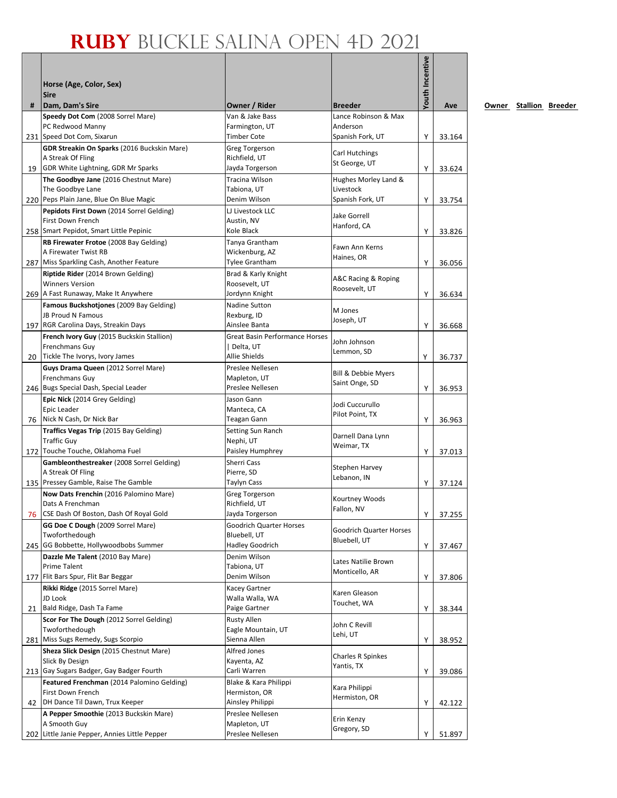## **Ruby** Buckle Salina Open 4D 2021

|    |                                                                          |                                         |                                 | Youth Incentive |        |
|----|--------------------------------------------------------------------------|-----------------------------------------|---------------------------------|-----------------|--------|
|    | Horse (Age, Color, Sex)                                                  |                                         |                                 |                 |        |
|    | <b>Sire</b>                                                              |                                         |                                 |                 |        |
| #  | Dam, Dam's Sire                                                          | Owner / Rider                           | <b>Breeder</b>                  |                 | Ave    |
|    | Speedy Dot Com (2008 Sorrel Mare)                                        | Van & Jake Bass                         | Lance Robinson & Max            |                 |        |
|    | PC Redwood Manny                                                         | Farmington, UT                          | Anderson                        |                 |        |
|    | 231 Speed Dot Com, Sixarun                                               | Timber Cote                             | Spanish Fork, UT                | Y               | 33.164 |
|    | GDR Streakin On Sparks (2016 Buckskin Mare)<br>A Streak Of Fling         | <b>Greg Torgerson</b><br>Richfield, UT  | Carl Hutchings                  |                 |        |
|    | 19 GDR White Lightning, GDR Mr Sparks                                    | Jayda Torgerson                         | St George, UT                   | Y               | 33.624 |
|    | The Goodbye Jane (2016 Chestnut Mare)                                    | Tracina Wilson                          | Hughes Morley Land &            |                 |        |
|    | The Goodbye Lane                                                         | Tabiona, UT                             | Livestock                       |                 |        |
|    | 220 Peps Plain Jane, Blue On Blue Magic                                  | Denim Wilson                            | Spanish Fork, UT                | Υ               | 33.754 |
|    | Pepidots First Down (2014 Sorrel Gelding)                                | LJ Livestock LLC                        | Jake Gorrell                    |                 |        |
|    | First Down French                                                        | Austin, NV                              | Hanford, CA                     |                 |        |
|    | 258 Smart Pepidot, Smart Little Pepinic                                  | Kole Black                              |                                 | Y               | 33.826 |
|    | RB Firewater Frotoe (2008 Bay Gelding)                                   | Tanya Grantham                          | Fawn Ann Kerns                  |                 |        |
|    | A Firewater Twist RB<br>287 Miss Sparkling Cash, Another Feature         | Wickenburg, AZ<br><b>Tylee Grantham</b> | Haines, OR                      | Y               | 36.056 |
|    | Riptide Rider (2014 Brown Gelding)                                       | Brad & Karly Knight                     |                                 |                 |        |
|    | <b>Winners Version</b>                                                   | Roosevelt, UT                           | A&C Racing & Roping             |                 |        |
|    | 269 A Fast Runaway, Make It Anywhere                                     | Jordynn Knight                          | Roosevelt, UT                   | Y               | 36.634 |
|    | Famous Buckshotiones (2009 Bay Gelding)                                  | Nadine Sutton                           |                                 |                 |        |
|    | JB Proud N Famous                                                        | Rexburg, ID                             | M Jones                         |                 |        |
|    | 197 RGR Carolina Days, Streakin Days                                     | Ainslee Banta                           | Joseph, UT                      | Y               | 36.668 |
|    | French Ivory Guy (2015 Buckskin Stallion)                                | <b>Great Basin Performance Horses</b>   | John Johnson                    |                 |        |
|    | Frenchmans Guy                                                           | Delta, UT                               | Lemmon, SD                      |                 |        |
|    | 20 Tickle The Ivorys, Ivory James                                        | Allie Shields                           |                                 | Υ               | 36.737 |
|    | Guys Drama Queen (2012 Sorrel Mare)                                      | Preslee Nellesen                        | Bill & Debbie Myers             |                 |        |
|    | Frenchmans Guy<br>246 Bugs Special Dash, Special Leader                  | Mapleton, UT<br>Preslee Nellesen        | Saint Onge, SD                  | Y               | 36.953 |
|    | Epic Nick (2014 Grey Gelding)                                            | Jason Gann                              |                                 |                 |        |
|    | Epic Leader                                                              | Manteca, CA                             | Jodi Cuccurullo                 |                 |        |
|    | 76 Nick N Cash, Dr Nick Bar                                              | Teagan Gann                             | Pilot Point, TX                 | Y               | 36.963 |
|    | Traffics Vegas Trip (2015 Bay Gelding)                                   | Setting Sun Ranch                       |                                 |                 |        |
|    | <b>Traffic Guy</b>                                                       | Nephi, UT                               | Darnell Dana Lynn<br>Weimar, TX |                 |        |
|    | 172 Touche Touche, Oklahoma Fuel                                         | Paisley Humphrey                        |                                 | Y               | 37.013 |
|    | Gambleonthestreaker (2008 Sorrel Gelding)                                | Sherri Cass                             | Stephen Harvey                  |                 |        |
|    | A Streak Of Fling                                                        | Pierre, SD                              | Lebanon, IN                     |                 |        |
|    | 135 Pressey Gamble, Raise The Gamble                                     | Taylyn Cass                             |                                 | Y               | 37.124 |
|    | Now Dats Frenchin (2016 Palomino Mare)<br>Dats A Frenchman               | Greg Torgerson<br>Richfield, UT         | Kourtney Woods                  |                 |        |
|    | 76 CSE Dash Of Boston, Dash Of Royal Gold                                | Jayda Torgerson                         | Fallon, NV                      | Υ               | 37.255 |
|    | GG Doe C Dough (2009 Sorrel Mare)                                        | <b>Goodrich Quarter Horses</b>          |                                 |                 |        |
|    | Twoforthedough                                                           | Bluebell, UT                            | <b>Goodrich Quarter Horses</b>  |                 |        |
|    | 245 GG Bobbette, Hollywoodbobs Summer                                    | <b>Hadley Goodrich</b>                  | Bluebell, UT                    | Υ               | 37.467 |
|    | Dazzle Me Talent (2010 Bay Mare)                                         | Denim Wilson                            | Lates Natilie Brown             |                 |        |
|    | Prime Talent                                                             | Tabiona, UT                             | Monticello, AR                  |                 |        |
|    | 177   Flit Bars Spur, Flit Bar Beggar                                    | Denim Wilson                            |                                 | Υ               | 37.806 |
|    | Rikki Ridge (2015 Sorrel Mare)                                           | Kacey Gartner                           | Karen Gleason                   |                 |        |
| 21 | JD Look<br>Bald Ridge, Dash Ta Fame                                      | Walla Walla, WA<br>Paige Gartner        | Touchet, WA                     | Υ               | 38.344 |
|    | Scor For The Dough (2012 Sorrel Gelding)                                 | Rusty Allen                             |                                 |                 |        |
|    | Twoforthedough                                                           | Eagle Mountain, UT                      | John C Revill                   |                 |        |
|    | 281 Miss Sugs Remedy, Sugs Scorpio                                       | Sienna Allen                            | Lehi, UT                        | Υ               | 38.952 |
|    | Sheza Slick Design (2015 Chestnut Mare)                                  | Alfred Jones                            |                                 |                 |        |
|    | Slick By Design                                                          | Kayenta, AZ                             | Charles R Spinkes<br>Yantis, TX |                 |        |
|    | 213 Gay Sugars Badger, Gay Badger Fourth                                 | Carli Warren                            |                                 | Υ               | 39.086 |
|    | Featured Frenchman (2014 Palomino Gelding)                               | Blake & Kara Philippi                   | Kara Philippi                   |                 |        |
|    | First Down French                                                        | Hermiston, OR                           | Hermiston, OR                   |                 |        |
| 42 | DH Dance Til Dawn, Trux Keeper<br>A Pepper Smoothie (2013 Buckskin Mare) | Ainsley Philippi<br>Preslee Nellesen    |                                 | Y               | 42.122 |
|    | A Smooth Guy                                                             | Mapleton, UT                            | Erin Kenzy                      |                 |        |
|    | 202 Little Janie Pepper, Annies Little Pepper                            | Preslee Nellesen                        | Gregory, SD                     | Υ               | 51.897 |
|    |                                                                          |                                         |                                 |                 |        |

**Owner Stallion Breeder**